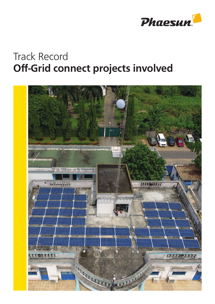

## Track Record Off-Grid connect projects involved